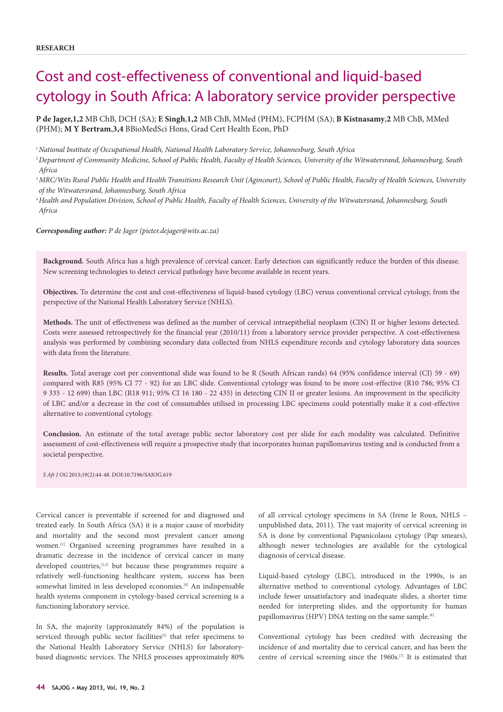# Cost and cost-effectiveness of conventional and liquid-based cytology in South Africa: A laboratory service provider perspective

**P de Jager,1,2** MB ChB, DCH (SA); **E Singh**,**1,2** MB ChB, MMed (PHM), FCPHM (SA); **B Kistnasamy**,**2** MB ChB, MMed (PHM); **M Y Bertram**,**3,4** BBioMedSci Hons, Grad Cert Health Econ, PhD

<sup>1</sup>*National Institute of Occupational Health, National Health Laboratory Service, Johannesburg, South Africa*

<sup>2</sup>*Department of Community Medicine, School of Public Health, Faculty of Health Sciences, University of the Witwatersrand, Johannesburg, South Africa*

<sup>3</sup>*MRC/Wits Rural Public Health and Health Transitions Research Unit (Agincourt), School of Public Health, Faculty of Health Sciences, University of the Witwatersrand, Johannesburg, South Africa*

<sup>4</sup>*Health and Population Division, School of Public Health, Faculty of Health Sciences, University of the Witwatersrand, Johannesburg, South Africa*

*Corresponding author: P de Jager (pieter.dejager@wits.ac.za)*

**Background.** South Africa has a high prevalence of cervical cancer. Early detection can significantly reduce the burden of this disease. New screening technologies to detect cervical pathology have become available in recent years.

**Objectives.** To determine the cost and cost-effectiveness of liquid-based cytology (LBC) versus conventional cervical cytology, from the perspective of the National Health Laboratory Service (NHLS).

**Methods.** The unit of effectiveness was defined as the number of cervical intraepithelial neoplasm (CIN) II or higher lesions detected. Costs were assessed retrospectively for the financial year (2010/11) from a laboratory service provider perspective. A cost-effectiveness analysis was performed by combining secondary data collected from NHLS expenditure records and cytology laboratory data sources with data from the literature.

**Results.** Total average cost per conventional slide was found to be R (South African rands) 64 (95% confidence interval (CI) 59 - 69) compared with R85 (95% CI 77 - 92) for an LBC slide. Conventional cytology was found to be more cost-effective (R10 786; 95% CI 9 335 - 12 699) than LBC (R18 911; 95% CI 16 180 - 22 435) in detecting CIN II or greater lesions. An improvement in the specificity of LBC and/or a decrease in the cost of consumables utilised in processing LBC specimens could potentially make it a cost-effective alternative to conventional cytology.

**Conclusion.** An estimate of the total average public sector laboratory cost per slide for each modality was calculated. Definitive assessment of cost-effectiveness will require a prospective study that incorporates human papillomavirus testing and is conducted from a societal perspective.

*S Afr J OG* 2013;19(2):44-48. DOI:10.7196/SAJOG.619

Cervical cancer is preventable if screened for and diagnosed and treated early. In South Africa (SA) it is a major cause of morbidity and mortality and the second most prevalent cancer among women.[1] Organised screening programmes have resulted in a dramatic decrease in the incidence of cervical cancer in many developed countries,<sup>[2,3]</sup> but because these programmes require a relatively well-functioning healthcare system, success has been somewhat limited in less developed economies.<sup>[4]</sup> An indispensable health systems component in cytology-based cervical screening is a functioning laboratory service.

In SA, the majority (approximately 84%) of the population is serviced through public sector facilities<sup>[5]</sup> that refer specimens to the National Health Laboratory Service (NHLS) for laboratorybased diagnostic services. The NHLS processes approximately 80%

of all cervical cytology specimens in SA (Irene le Roux, NHLS – unpublished data, 2011). The vast majority of cervical screening in SA is done by conventional Papanicolaou cytology (Pap smears), although newer technologies are available for the cytological diagnosis of cervical disease.

Liquid-based cytology (LBC), introduced in the 1990s, is an alternative method to conventional cytology. Advantages of LBC include fewer unsatisfactory and inadequate slides, a shorter time needed for interpreting slides, and the opportunity for human papillomavirus (HPV) DNA testing on the same sample.<sup>[6]</sup>

Conventional cytology has been credited with decreasing the incidence of and mortality due to cervical cancer, and has been the centre of cervical screening since the 1960s.[7] It is estimated that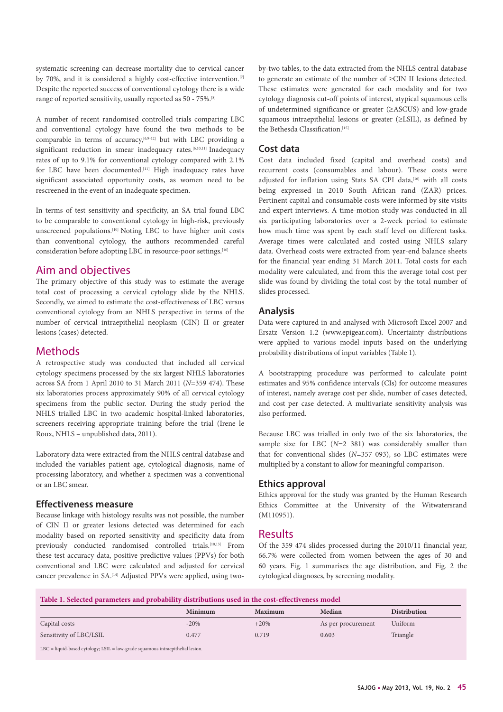systematic screening can decrease mortality due to cervical cancer by 70%, and it is considered a highly cost-effective intervention.<sup>[7]</sup> Despite the reported success of conventional cytology there is a wide range of reported sensitivity, usually reported as 50 - 75%.[8]

A number of recent randomised controlled trials comparing LBC and conventional cytology have found the two methods to be comparable in terms of accuracy,<sup> $[6,9-12]$ </sup> but with LBC providing a significant reduction in smear inadequacy rates.<sup>[6,10,11]</sup> Inadequacy rates of up to 9.1% for conventional cytology compared with 2.1% for LBC have been documented.<sup>[11]</sup> High inadequacy rates have significant associated opportunity costs, as women need to be rescreened in the event of an inadequate specimen.

In terms of test sensitivity and specificity, an SA trial found LBC to be comparable to conventional cytology in high-risk, previously unscreened populations.[10] Noting LBC to have higher unit costs than conventional cytology, the authors recommended careful consideration before adopting LBC in resource-poor settings.<sup>[10]</sup>

# Aim and objectives

The primary objective of this study was to estimate the average total cost of processing a cervical cytology slide by the NHLS. Secondly, we aimed to estimate the cost-effectiveness of LBC versus conventional cytology from an NHLS perspective in terms of the number of cervical intraepithelial neoplasm (CIN) II or greater lesions (cases) detected.

# Methods

A retrospective study was conducted that included all cervical cytology specimens processed by the six largest NHLS laboratories across SA from 1 April 2010 to 31 March 2011 (*N*=359 474). These six laboratories process approximately 90% of all cervical cytology specimens from the public sector. During the study period the NHLS trialled LBC in two academic hospital-linked laboratories, screeners receiving appropriate training before the trial (Irene le Roux, NHLS – unpublished data, 2011).

Laboratory data were extracted from the NHLS central database and included the variables patient age, cytological diagnosis, name of processing laboratory, and whether a specimen was a conventional or an LBC smear.

#### **Effectiveness measure**

Because linkage with histology results was not possible, the number of CIN II or greater lesions detected was determined for each modality based on reported sensitivity and specificity data from previously conducted randomised controlled trials.[10,13] From these test accuracy data, positive predictive values (PPVs) for both conventional and LBC were calculated and adjusted for cervical cancer prevalence in SA.[14] Adjusted PPVs were applied, using twoby-two tables, to the data extracted from the NHLS central database to generate an estimate of the number of ≥CIN II lesions detected. These estimates were generated for each modality and for two cytology diagnosis cut-off points of interest, atypical squamous cells of undetermined significance or greater (≥ASCUS) and low-grade squamous intraepithelial lesions or greater (≥LSIL), as defined by the Bethesda Classification.<sup>[15]</sup>

#### **Cost data**

Cost data included fixed (capital and overhead costs) and recurrent costs (consumables and labour). These costs were adjusted for inflation using Stats SA CPI data,<sup>[16]</sup> with all costs being expressed in 2010 South African rand (ZAR) prices. Pertinent capital and consumable costs were informed by site visits and expert interviews. A time-motion study was conducted in all six participating laboratories over a 2-week period to estimate how much time was spent by each staff level on different tasks. Average times were calculated and costed using NHLS salary data. Overhead costs were extracted from year-end balance sheets for the financial year ending 31 March 2011. Total costs for each modality were calculated, and from this the average total cost per slide was found by dividing the total cost by the total number of slides processed.

#### **Analysis**

Data were captured in and analysed with Microsoft Excel 2007 and Ersatz Version 1.2 (www.epigear.com). Uncertainty distributions were applied to various model inputs based on the underlying probability distributions of input variables (Table 1).

A bootstrapping procedure was performed to calculate point estimates and 95% confidence intervals (CIs) for outcome measures of interest, namely average cost per slide, number of cases detected, and cost per case detected. A multivariate sensitivity analysis was also performed.

Because LBC was trialled in only two of the six laboratories, the sample size for LBC (*N*=2 381) was considerably smaller than that for conventional slides (*N*=357 093), so LBC estimates were multiplied by a constant to allow for meaningful comparison.

#### **Ethics approval**

Ethics approval for the study was granted by the Human Research Ethics Committee at the University of the Witwatersrand (M110951).

# Results

Of the 359 474 slides processed during the 2010/11 financial year, 66.7% were collected from women between the ages of 30 and 60 years. Fig. 1 summarises the age distribution, and Fig. 2 the cytological diagnoses, by screening modality.

|  |  | Table 1. Selected parameters and probability distributions used in the cost-effectiveness model |
|--|--|-------------------------------------------------------------------------------------------------|
|--|--|-------------------------------------------------------------------------------------------------|

|                         | Minimum | <b>Maximum</b> | Median             | <b>Distribution</b> |
|-------------------------|---------|----------------|--------------------|---------------------|
| Capital costs           | $-20%$  | $+20%$         | As per procurement | Uniform             |
| Sensitivity of LBC/LSIL | 0.477   | 0.719          | 0.603              | Triangle            |

LBC = liquid-based cytology; LSIL = low-grade squamous intraepithelial lesion.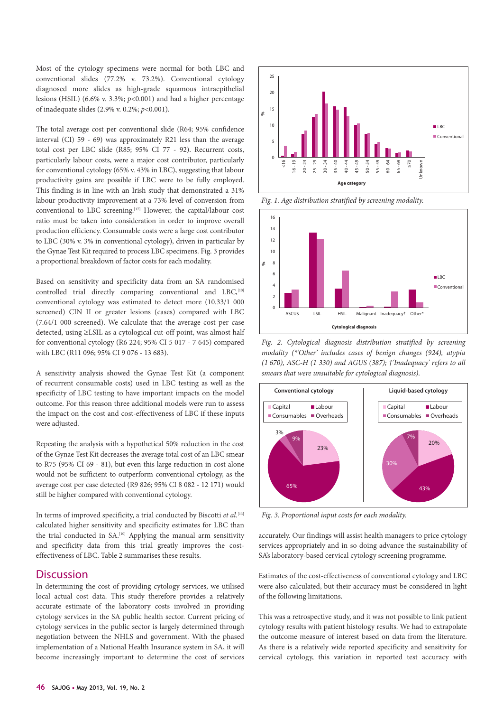Most of the cytology specimens were normal for both LBC and conventional slides (77.2% v. 73.2%). Conventional cytology diagnosed more slides as high-grade squamous intraepithelial lesions (HSIL) (6.6% v. 3.3%; *p*<0.001) and had a higher percentage of inadequate slides (2.9% v. 0.2%; *p*<0.001).

The total average cost per conventional slide (R64; 95% confidence interval (CI) 59 - 69) was approximately R21 less than the average total cost per LBC slide (R85; 95% CI 77 - 92). Recurrent costs, particularly labour costs, were a major cost contributor, particularly for conventional cytology (65% v. 43% in LBC), suggesting that labour productivity gains are possible if LBC were to be fully employed. This finding is in line with an Irish study that demonstrated a 31% labour productivity improvement at a 73% level of conversion from conventional to LBC screening.[17] However, the capital/labour cost ratio must be taken into consideration in order to improve overall production efficiency. Consumable costs were a large cost contributor to LBC (30% v. 3% in conventional cytology), driven in particular by the Gynae Test Kit required to process LBC specimens. Fig. 3 provides a proportional breakdown of factor costs for each modality.

Based on sensitivity and specificity data from an SA randomised controlled trial directly comparing conventional and LBC,<sup>[10]</sup> conventional cytology was estimated to detect more (10.33/1 000 screened) CIN II or greater lesions (cases) compared with LBC (7.64/1 000 screened). We calculate that the average cost per case detected, using ≥LSIL as a cytological cut-off point, was almost half for conventional cytology (R6 224; 95% CI 5 017 - 7 645) compared with LBC (R11 096; 95% CI 9 076 - 13 683).

A sensitivity analysis showed the Gynae Test Kit (a component of recurrent consumable costs) used in LBC testing as well as the specificity of LBC testing to have important impacts on the model outcome. For this reason three additional models were run to assess the impact on the cost and cost-effectiveness of LBC if these inputs were adjusted.

Repeating the analysis with a hypothetical 50% reduction in the cost of the Gynae Test Kit decreases the average total cost of an LBC smear to R75 (95% CI 69 - 81), but even this large reduction in cost alone would not be sufficient to outperform conventional cytology, as the average cost per case detected (R9 826; 95% CI 8 082 - 12 171) would still be higher compared with conventional cytology.

In terms of improved specificity, a trial conducted by Biscotti *et al.*<sup>[13]</sup> calculated higher sensitivity and specificity estimates for LBC than the trial conducted in SA.[10] Applying the manual arm sensitivity and specificity data from this trial greatly improves the costeffectiveness of LBC. Table 2 summarises these results.

#### **Discussion**

In determining the cost of providing cytology services, we utilised local actual cost data. This study therefore provides a relatively accurate estimate of the laboratory costs involved in providing cytology services in the SA public health sector. Current pricing of cytology services in the public sector is largely determined through negotiation between the NHLS and government. With the phased implementation of a National Health Insurance system in SA, it will become increasingly important to determine the cost of services



*Fig. 1. Age distribution stratified by screening modality.*



*Fig. 2. Cytological diagnosis distribution stratified by screening modality (\*'Other' includes cases of benign changes (924), atypia (1 670), ASC-H (1 330) and AGUS (387); †'Inadequacy' refers to all smears that were unsuitable for cytological diagnosis).*



*Fig. 3. Proportional input costs for each modality.* 5

accurately. Our findings will assist health managers to price cytology<br>services appropriately and in so doing advance the sustainability of services appropriately and in so doing advance the sustainability of SA's laboratory-based cervical cytology screening programme.

Estimates of the cost-effectiveness of conventional cytology and LBC were also calculated, but their accuracy must be considered in light of the following limitations.

This was a retrospective study, and it was not possible to link patient cytology results with patient histology results. We had to extrapolate the outcome measure of interest based on data from the literature. As there is a relatively wide reported specificity and sensitivity for cervical cytology, this variation in reported test accuracy with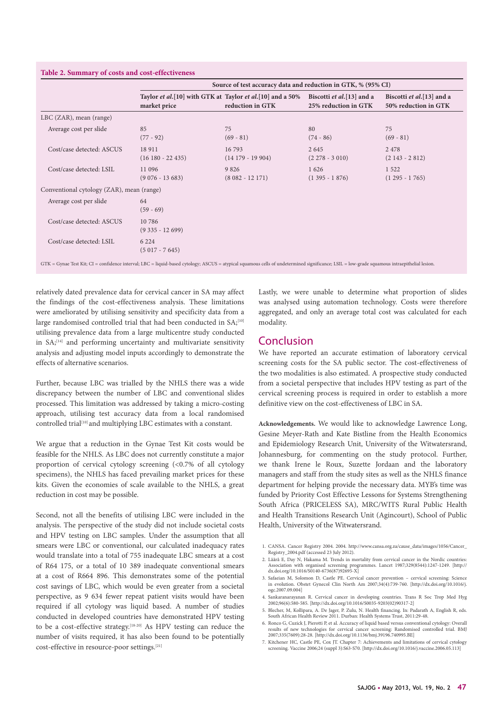|                                           | Source of test accuracy data and reduction in GTK, % (95% CI)               |                             |                                                   |                                                    |  |  |
|-------------------------------------------|-----------------------------------------------------------------------------|-----------------------------|---------------------------------------------------|----------------------------------------------------|--|--|
|                                           | Taylor et al. [10] with GTK at Taylor et al. [10] and a 50%<br>market price | reduction in GTK            | Biscotti et al.[13] and a<br>25% reduction in GTK | Biscotti et al. [13] and a<br>50% reduction in GTK |  |  |
| $LBC$ (ZAR), mean (range)                 |                                                                             |                             |                                                   |                                                    |  |  |
| Average cost per slide                    | 85<br>$(77 - 92)$                                                           | 75<br>$(69 - 81)$           | 80<br>$(74 - 86)$                                 | 75<br>$(69 - 81)$                                  |  |  |
| Cost/case detected: ASCUS                 | 18 911<br>$(16180 - 22435)$                                                 | 16793<br>$(14179 - 19904)$  | 2 6 4 5<br>$(2278 - 3010)$                        | 2 4 7 8<br>$(2143 - 2812)$                         |  |  |
| Cost/case detected: LSIL                  | 11 096<br>$(9076 - 13683)$                                                  | 9 8 2 6<br>$(8082 - 12171)$ | 1626<br>$(1395 - 1876)$                           | 1 5 2 2<br>$(1295 - 1765)$                         |  |  |
| Conventional cytology (ZAR), mean (range) |                                                                             |                             |                                                   |                                                    |  |  |
| Average cost per slide                    | 64<br>$(59 - 69)$                                                           |                             |                                                   |                                                    |  |  |
| Cost/case detected: ASCUS                 | 10 786<br>$(9335 - 12699)$                                                  |                             |                                                   |                                                    |  |  |
| Cost/case detected: LSIL                  | 6 2 2 4<br>$(5017 - 7645)$                                                  |                             |                                                   |                                                    |  |  |

relatively dated prevalence data for cervical cancer in SA may affect the findings of the cost-effectiveness analysis. These limitations were ameliorated by utilising sensitivity and specificity data from a large randomised controlled trial that had been conducted in SA;<sup>[10]</sup> utilising prevalence data from a large multicentre study conducted in SA;[14] and performing uncertainty and multivariate sensitivity analysis and adjusting model inputs accordingly to demonstrate the effects of alternative scenarios.

Further, because LBC was trialled by the NHLS there was a wide discrepancy between the number of LBC and conventional slides processed. This limitation was addressed by taking a micro-costing approach, utilising test accuracy data from a local randomised controlled trial[10] and multiplying LBC estimates with a constant.

We argue that a reduction in the Gynae Test Kit costs would be feasible for the NHLS. As LBC does not currently constitute a major proportion of cervical cytology screening (<0.7% of all cytology specimens), the NHLS has faced prevailing market prices for these kits. Given the economies of scale available to the NHLS, a great reduction in cost may be possible.

Second, not all the benefits of utilising LBC were included in the analysis. The perspective of the study did not include societal costs and HPV testing on LBC samples. Under the assumption that all smears were LBC or conventional, our calculated inadequacy rates would translate into a total of 755 inadequate LBC smears at a cost of R64 175, or a total of 10 389 inadequate conventional smears at a cost of R664 896. This demonstrates some of the potential cost savings of LBC, which would be even greater from a societal perspective, as 9 634 fewer repeat patient visits would have been required if all cytology was liquid based. A number of studies conducted in developed countries have demonstrated HPV testing to be a cost-effective strategy.[18-20] As HPV testing can reduce the number of visits required, it has also been found to be potentially cost-effective in resource-poor settings.[21]

Lastly, we were unable to determine what proportion of slides was analysed using automation technology. Costs were therefore aggregated, and only an average total cost was calculated for each modality.

### Conclusion

We have reported an accurate estimation of laboratory cervical screening costs for the SA public sector. The cost-effectiveness of the two modalities is also estimated. A prospective study conducted from a societal perspective that includes HPV testing as part of the cervical screening process is required in order to establish a more definitive view on the cost-effectiveness of LBC in SA.

**Acknowledgements.** We would like to acknowledge Lawrence Long, Gesine Meyer-Rath and Kate Bistline from the Health Economics and Epidemiology Research Unit, University of the Witwatersrand, Johannesburg, for commenting on the study protocol. Further, we thank Irene le Roux, Suzette Jordaan and the laboratory managers and staff from the study sites as well as the NHLS finance department for helping provide the necessary data. MYB's time was funded by Priority Cost Effective Lessons for Systems Strengthening South Africa (PRICELESS SA), MRC/WITS Rural Public Health and Health Transitions Research Unit (Agincourt), School of Public Health, University of the Witwatersrand.

- 1. CANSA. Cancer Registry 2004. 2004. http://www.cansa.org.za/cause\_data/images/1056/Cancer\_ Registry\_2004.pdf (accessed 23 July 2012).
- 2. Lăără E, Day N, Hakama M. Trends in mortality from cervical cancer in the Nordic countries: Association with organised screening programmes. Lancet 1987;329(8544):1247-1249. [http:// dx.doi.org/10.1016/S0140-6736(87)92695-X]
- 3. Safaeian M, Solomon D, Castle PE. Cervical cancer prevention cervical screening: Science in evolution. Obstet Gynecol Clin North Am 2007;34(4):739-760. [http://dx.doi.org/10.1016/j. ogc.2007.09.004]
- 4. Sankaranarayanan R. Cervical cancer in developing countries. Trans R Soc Trop Med Hyg 2002;96(6):580-585. [http://dx.doi.org/10.1016/S0035-9203(02)90317-2]
- 5. Blecher, M, Kollipara, A. De Jager, P. Zulu, N. Health financing. In: Padarath A, English R, eds. South African Health Review 2011. Durban: Health Systems Trust, 2011:29-48.
- 6. Ronco G, Cuzick J, Pierotti P, et al. Accuracy of liquid based versus conventional cytology: Overall results of new technologies for cervical cancer screening: Randomised controlled trial. BMJ 2007;335(7609):28-28. [http://dx.doi.org/10.1136/bmj.39196.740995.BE]
- 7. Kitchener HC, Castle PE, Cox JT. Chapter 7: Achievements and limitations of cervical cytology screening. Vaccine 2006;24 (suppl 3):S63-S70. [http://dx.doi.org/10.1016/j.vaccine.2006.05.113]